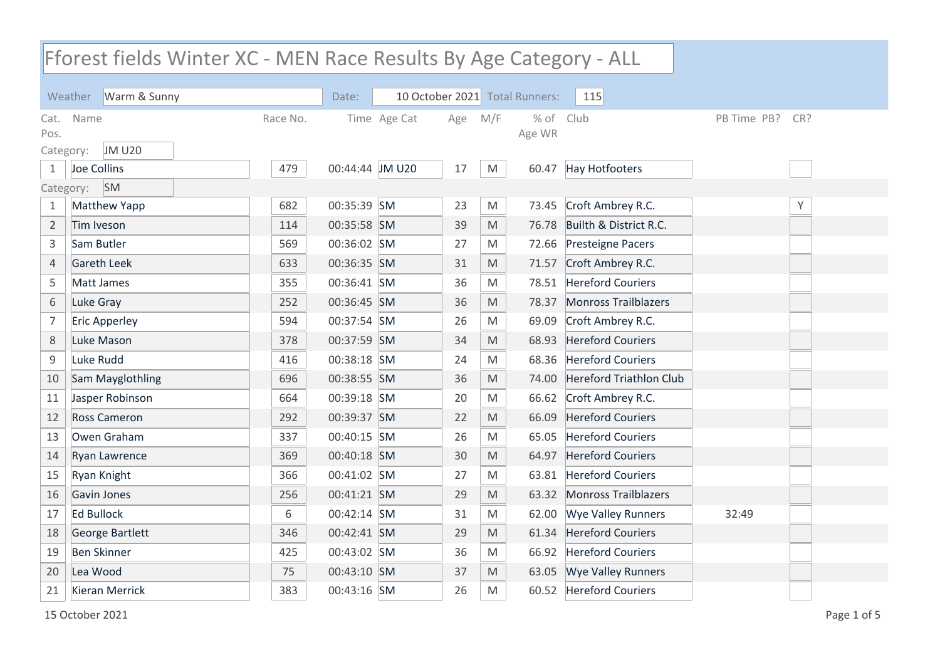## Weather Warm & Sunny **Date:** 10 October 2021 Total Runners: 115 Fforest fields Winter XC - MEN Race Results By Age Category - ALL Name **The Race No.** Time Age Cat Age M/F % of Club PB Time PB? Age WR Cat. Name Pos. Race No. Time Age Cat Age M/F % of Club The Partime PB? CR? Category: JM U20 Joe Collins 479 00:44:44 JM U20 17 M 60.47 Hay Hotfooters Category: SM 1 Matthew Yapp 682 00:35:39 SM 23 M 73.45 Croft Ambrey R.C. 2 Tim Iveson 114 00:35:58 SM 39 M 76.78 Builth & District R.C. Sam Butler 569 00:36:02 SM 27 M 72.66 Presteigne Pacers Gareth Leek 633 00:36:35 SM 31 M 71.57 Croft Ambrey R.C. Matt James 355 00:36:41 SM 36 M 78.51 Hereford Couriers Luke Gray 252 00:36:45 SM 36 M 78.37 Monross Trailblazers Eric Apperley 594 00:37:54 SM 26 M 69.09 Croft Ambrey R.C. Luke Mason 378 00:37:59 SM 34 M 68.93 Hereford Couriers Luke Rudd 416 00:38:18 SM 24 M 68.36 Hereford Couriers Sam Mayglothling 696 00:38:55 SM 36 M 74.00 Hereford Triathlon Club Jasper Robinson 664 00:39:18 SM 20 M 66.62 Croft Ambrey R.C. Ross Cameron 292 00:39:37 SM 22 M 66.09 Hereford Couriers Owen Graham 337 00:40:15 SM 26 M 65.05 Hereford Couriers Ryan Lawrence 369 00:40:18 SM 30 M 64.97 Hereford Couriers Ryan Knight 366 00:41:02 SM 27 M 63.81 Hereford Couriers Gavin Jones 256 00:41:21 SM 29 M 63.32 Monross Trailblazers Ed Bullock 6 00:42:14 SM 31 M 62.00 Wye Valley Runners 32:49 George Bartlett 346 00:42:41 SM 29 M 61.34 Hereford Couriers Ben Skinner 425 00:43:02 SM 36 M 66.92 Hereford Couriers Lea Wood 75 00:43:10 SM 37 M 63.05 Wye Valley Runners Kieran Merrick 383 00:43:16 SM 26 M 60.52 Hereford Couriers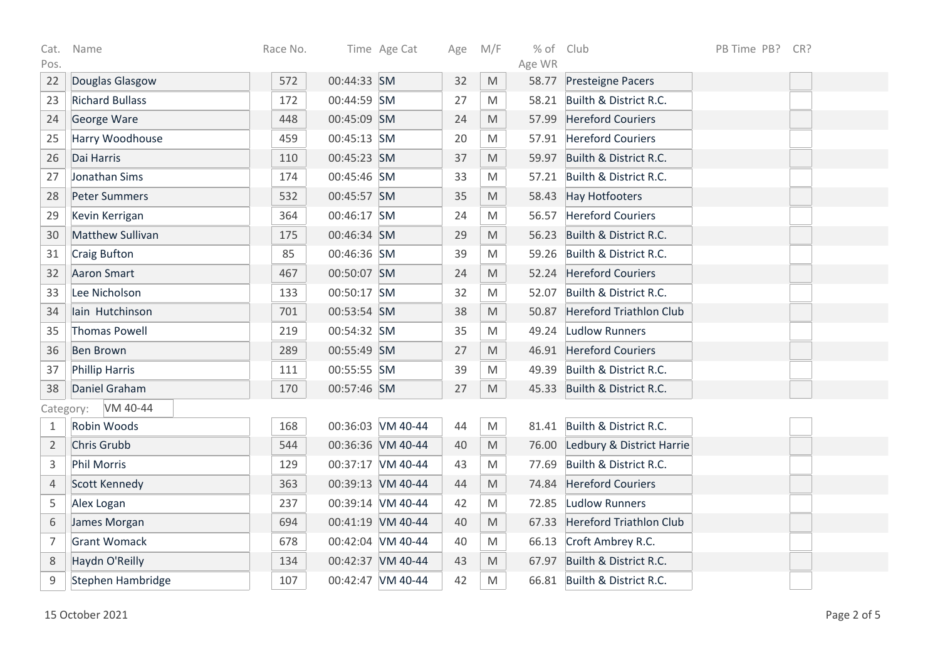| Cat.           | Name                   | Race No. |             | Time Age Cat      | Age | M/F                                                                                                        | % of Club |                                 | PB Time PB? | CR? |
|----------------|------------------------|----------|-------------|-------------------|-----|------------------------------------------------------------------------------------------------------------|-----------|---------------------------------|-------------|-----|
| Pos.           |                        |          |             |                   |     |                                                                                                            | Age WR    |                                 |             |     |
| 22             | Douglas Glasgow        | 572      | 00:44:33 SM |                   | 32  | M                                                                                                          |           | 58.77 Presteigne Pacers         |             |     |
| 23             | <b>Richard Bullass</b> | 172      | 00:44:59 SM |                   | 27  | M                                                                                                          |           | 58.21 Builth & District R.C.    |             |     |
| 24             | George Ware            | 448      | 00:45:09 SM |                   | 24  | M                                                                                                          | 57.99     | <b>Hereford Couriers</b>        |             |     |
| 25             | Harry Woodhouse        | 459      | 00:45:13 SM |                   | 20  | M                                                                                                          |           | 57.91 Hereford Couriers         |             |     |
| 26             | Dai Harris             | 110      | 00:45:23 SM |                   | 37  | M                                                                                                          | 59.97     | Builth & District R.C.          |             |     |
| 27             | Jonathan Sims          | 174      | 00:45:46 SM |                   | 33  | M                                                                                                          | 57.21     | Builth & District R.C.          |             |     |
| 28             | <b>Peter Summers</b>   | 532      | 00:45:57 SM |                   | 35  | M                                                                                                          |           | 58.43 Hay Hotfooters            |             |     |
| 29             | Kevin Kerrigan         | 364      | 00:46:17 SM |                   | 24  | M                                                                                                          |           | 56.57 Hereford Couriers         |             |     |
| 30             | Matthew Sullivan       | 175      | 00:46:34 SM |                   | 29  | M                                                                                                          | 56.23     | Builth & District R.C.          |             |     |
| 31             | <b>Craig Bufton</b>    | 85       | 00:46:36 SM |                   | 39  | M                                                                                                          |           | 59.26 Builth & District R.C.    |             |     |
| 32             | <b>Aaron Smart</b>     | 467      | 00:50:07 SM |                   | 24  | M                                                                                                          |           | 52.24 Hereford Couriers         |             |     |
| 33             | Lee Nicholson          | 133      | 00:50:17 SM |                   | 32  | M                                                                                                          | 52.07     | Builth & District R.C.          |             |     |
| 34             | lain Hutchinson        | 701      | 00:53:54 SM |                   | 38  | M                                                                                                          | 50.87     | Hereford Triathlon Club         |             |     |
| 35             | <b>Thomas Powell</b>   | 219      | 00:54:32 SM |                   | 35  | M                                                                                                          |           | 49.24 Ludlow Runners            |             |     |
| 36             | <b>Ben Brown</b>       | 289      | 00:55:49 SM |                   | 27  | M                                                                                                          |           | 46.91 Hereford Couriers         |             |     |
| 37             | <b>Phillip Harris</b>  | 111      | 00:55:55 SM |                   | 39  | M                                                                                                          |           | 49.39 Builth & District R.C.    |             |     |
| 38             | Daniel Graham          | 170      | 00:57:46 SM |                   | 27  | M                                                                                                          |           | 45.33 Builth & District R.C.    |             |     |
| Category:      | VM 40-44               |          |             |                   |     |                                                                                                            |           |                                 |             |     |
| $\mathbf{1}$   | Robin Woods            | 168      |             | 00:36:03 VM 40-44 | 44  | M                                                                                                          |           | 81.41 Builth & District R.C.    |             |     |
| 2              | Chris Grubb            | 544      |             | 00:36:36 VM 40-44 | 40  | $\mathsf{M}% _{T}=\mathsf{M}_{T}\!\left( a,b\right) ,\ \mathsf{M}_{T}=\mathsf{M}_{T}\!\left( a,b\right) ,$ |           | 76.00 Ledbury & District Harrie |             |     |
| $\mathsf 3$    | <b>Phil Morris</b>     | 129      |             | 00:37:17 VM 40-44 | 43  | M                                                                                                          |           | 77.69 Builth & District R.C.    |             |     |
| $\overline{4}$ | Scott Kennedy          | 363      |             | 00:39:13 VM 40-44 | 44  | M                                                                                                          | 74.84     | <b>Hereford Couriers</b>        |             |     |
| 5              | Alex Logan             | 237      |             | 00:39:14 VM 40-44 | 42  | M                                                                                                          | 72.85     | Ludlow Runners                  |             |     |
| 6              | James Morgan           | 694      |             | 00:41:19 VM 40-44 | 40  | M                                                                                                          |           | 67.33 Hereford Triathlon Club   |             |     |
| $\overline{7}$ | <b>Grant Womack</b>    | 678      |             | 00:42:04 VM 40-44 | 40  | M                                                                                                          | 66.13     | Croft Ambrey R.C.               |             |     |
| 8              | Haydn O'Reilly         | 134      |             | 00:42:37 VM 40-44 | 43  | M                                                                                                          | 67.97     | Builth & District R.C.          |             |     |
| 9              | Stephen Hambridge      | 107      |             | 00:42:47 VM 40-44 | 42  | M                                                                                                          |           | 66.81 Builth & District R.C.    |             |     |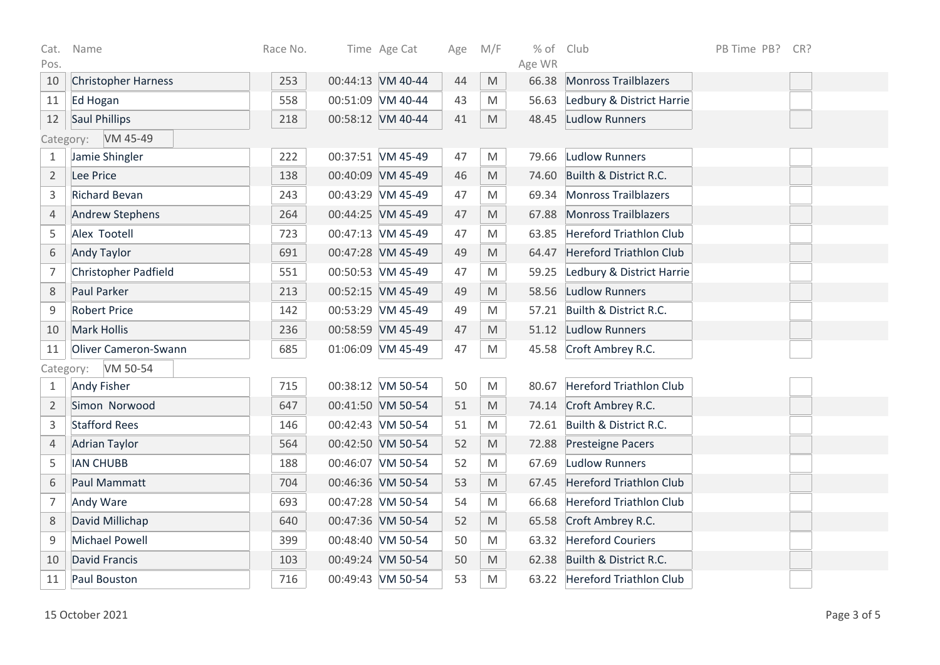| Cat.                  | Name                        | Race No. |  | Time Age Cat      | Age | M/F | $%$ of | Club                           | PB Time PB? | CR? |
|-----------------------|-----------------------------|----------|--|-------------------|-----|-----|--------|--------------------------------|-------------|-----|
| Pos.                  |                             |          |  |                   |     |     | Age WR |                                |             |     |
| 10                    | <b>Christopher Harness</b>  | 253      |  | 00:44:13 VM 40-44 | 44  | M   | 66.38  | <b>Monross Trailblazers</b>    |             |     |
| 11                    | Ed Hogan                    | 558      |  | 00:51:09 VM 40-44 | 43  | M   | 56.63  | Ledbury & District Harrie      |             |     |
| 12                    | <b>Saul Phillips</b>        | 218      |  | 00:58:12 VM 40-44 | 41  | M   | 48.45  | Ludlow Runners                 |             |     |
|                       | Category: VM 45-49          |          |  |                   |     |     |        |                                |             |     |
| 1                     | Jamie Shingler              | 222      |  | 00:37:51 VM 45-49 | 47  | M   | 79.66  | Ludlow Runners                 |             |     |
| $\overline{2}$        | Lee Price                   | 138      |  | 00:40:09 VM 45-49 | 46  | M   | 74.60  | Builth & District R.C.         |             |     |
| 3                     | <b>Richard Bevan</b>        | 243      |  | 00:43:29 VM 45-49 | 47  | M   |        | 69.34 Monross Trailblazers     |             |     |
| $\overline{4}$        | <b>Andrew Stephens</b>      | 264      |  | 00:44:25 VM 45-49 | 47  | M   | 67.88  | Monross Trailblazers           |             |     |
| 5                     | Alex Tootell                | 723      |  | 00:47:13 VM 45-49 | 47  | M   | 63.85  | <b>Hereford Triathlon Club</b> |             |     |
| 6                     | <b>Andy Taylor</b>          | 691      |  | 00:47:28 VM 45-49 | 49  | M   | 64.47  | <b>Hereford Triathlon Club</b> |             |     |
| $\overline{7}$        | <b>Christopher Padfield</b> | 551      |  | 00:50:53 VM 45-49 | 47  | M   | 59.25  | Ledbury & District Harrie      |             |     |
| $\,8\,$               | Paul Parker                 | 213      |  | 00:52:15 VM 45-49 | 49  | M   | 58.56  | Ludlow Runners                 |             |     |
| $\mathsf 9$           | <b>Robert Price</b>         | 142      |  | 00:53:29 VM 45-49 | 49  | M   |        | 57.21 Builth & District R.C.   |             |     |
| 10                    | <b>Mark Hollis</b>          | 236      |  | 00:58:59 VM 45-49 | 47  | M   |        | 51.12 Ludlow Runners           |             |     |
| 11                    | <b>Oliver Cameron-Swann</b> | 685      |  | 01:06:09 VM 45-49 | 47  | M   | 45.58  | Croft Ambrey R.C.              |             |     |
| VM 50-54<br>Category: |                             |          |  |                   |     |     |        |                                |             |     |
| $\mathbf{1}$          | <b>Andy Fisher</b>          | 715      |  | 00:38:12 VM 50-54 | 50  | M   | 80.67  | Hereford Triathlon Club        |             |     |
| $\overline{2}$        | Simon Norwood               | 647      |  | 00:41:50 VM 50-54 | 51  | M   |        | 74.14 Croft Ambrey R.C.        |             |     |
| $\overline{3}$        | <b>Stafford Rees</b>        | 146      |  | 00:42:43 VM 50-54 | 51  | M   | 72.61  | Builth & District R.C.         |             |     |
| $\overline{4}$        | <b>Adrian Taylor</b>        | 564      |  | 00:42:50 VM 50-54 | 52  | M   |        | 72.88 Presteigne Pacers        |             |     |
| 5                     | <b>IAN CHUBB</b>            | 188      |  | 00:46:07 VM 50-54 | 52  | M   | 67.69  | Ludlow Runners                 |             |     |
| 6                     | Paul Mammatt                | 704      |  | 00:46:36 VM 50-54 | 53  | M   | 67.45  | <b>Hereford Triathlon Club</b> |             |     |
| $\overline{7}$        | <b>Andy Ware</b>            | 693      |  | 00:47:28 VM 50-54 | 54  | M   |        | 66.68 Hereford Triathlon Club  |             |     |
| $\,8\,$               | David Millichap             | 640      |  | 00:47:36 VM 50-54 | 52  | M   | 65.58  | Croft Ambrey R.C.              |             |     |
| $\mathsf g$           | Michael Powell              | 399      |  | 00:48:40 VM 50-54 | 50  | M   | 63.32  | <b>Hereford Couriers</b>       |             |     |
| 10                    | David Francis               | 103      |  | 00:49:24 VM 50-54 | 50  | M   |        | 62.38 Builth & District R.C.   |             |     |
| 11                    | Paul Bouston                | 716      |  | 00:49:43 VM 50-54 | 53  | M   |        | 63.22 Hereford Triathlon Club  |             |     |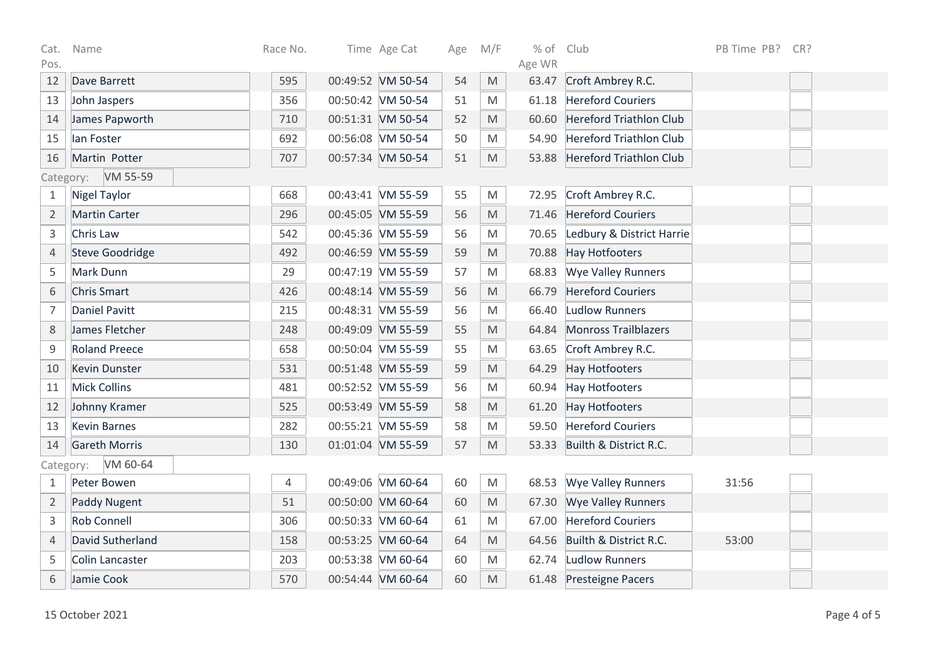| Cat.                  | Name                   | Race No. | Time Age Cat      | Age | M/F | % of Club |                                | PB Time PB? | CR? |  |
|-----------------------|------------------------|----------|-------------------|-----|-----|-----------|--------------------------------|-------------|-----|--|
| Pos.                  |                        |          |                   |     |     | Age WR    |                                |             |     |  |
| 12                    | Dave Barrett           | 595      | 00:49:52 VM 50-54 | 54  | M   | 63.47     | Croft Ambrey R.C.              |             |     |  |
| 13                    | John Jaspers           | 356      | 00:50:42 VM 50-54 | 51  | M   | 61.18     | <b>Hereford Couriers</b>       |             |     |  |
| 14                    | James Papworth         | 710      | 00:51:31 VM 50-54 | 52  | M   | 60.60     | <b>Hereford Triathlon Club</b> |             |     |  |
| 15                    | lan Foster             | 692      | 00:56:08 VM 50-54 | 50  | M   | 54.90     | <b>Hereford Triathlon Club</b> |             |     |  |
| 16                    | Martin Potter          | 707      | 00:57:34 VM 50-54 | 51  | M   | 53.88     | Hereford Triathlon Club        |             |     |  |
| VM 55-59<br>Category: |                        |          |                   |     |     |           |                                |             |     |  |
| $\mathbf{1}$          | <b>Nigel Taylor</b>    | 668      | 00:43:41 VM 55-59 | 55  | M   | 72.95     | Croft Ambrey R.C.              |             |     |  |
| $\overline{2}$        | <b>Martin Carter</b>   | 296      | 00:45:05 VM 55-59 | 56  | M   | 71.46     | <b>Hereford Couriers</b>       |             |     |  |
| $\mathsf 3$           | Chris Law              | 542      | 00:45:36 VM 55-59 | 56  | M   | 70.65     | Ledbury & District Harrie      |             |     |  |
| $\sqrt{4}$            | <b>Steve Goodridge</b> | 492      | 00:46:59 VM 55-59 | 59  | M   | 70.88     | Hay Hotfooters                 |             |     |  |
| 5                     | Mark Dunn              | 29       | 00:47:19 VM 55-59 | 57  | M   | 68.83     | <b>Wye Valley Runners</b>      |             |     |  |
| 6                     | <b>Chris Smart</b>     | 426      | 00:48:14 VM 55-59 | 56  | M   | 66.79     | <b>Hereford Couriers</b>       |             |     |  |
| $\overline{7}$        | <b>Daniel Pavitt</b>   | 215      | 00:48:31 VM 55-59 | 56  | M   | 66.40     | Ludlow Runners                 |             |     |  |
| $\,8\,$               | James Fletcher         | 248      | 00:49:09 VM 55-59 | 55  | M   | 64.84     | <b>Monross Trailblazers</b>    |             |     |  |
| $\mathsf 9$           | <b>Roland Preece</b>   | 658      | 00:50:04 VM 55-59 | 55  | M   | 63.65     | Croft Ambrey R.C.              |             |     |  |
| 10                    | <b>Kevin Dunster</b>   | 531      | 00:51:48 VM 55-59 | 59  | M   | 64.29     | <b>Hay Hotfooters</b>          |             |     |  |
| 11                    | <b>Mick Collins</b>    | 481      | 00:52:52 VM 55-59 | 56  | M   | 60.94     | Hay Hotfooters                 |             |     |  |
| 12                    | Johnny Kramer          | 525      | 00:53:49 VM 55-59 | 58  | M   | 61.20     | Hay Hotfooters                 |             |     |  |
| 13                    | <b>Kevin Barnes</b>    | 282      | 00:55:21 VM 55-59 | 58  | M   | 59.50     | <b>Hereford Couriers</b>       |             |     |  |
| 14                    | <b>Gareth Morris</b>   | 130      | 01:01:04 VM 55-59 | 57  | M   | 53.33     | Builth & District R.C.         |             |     |  |
| Category:             | VM 60-64               |          |                   |     |     |           |                                |             |     |  |
| 1                     | Peter Bowen            | 4        | 00:49:06 VM 60-64 | 60  | M   | 68.53     | <b>Wye Valley Runners</b>      | 31:56       |     |  |
| $\overline{2}$        | Paddy Nugent           | 51       | 00:50:00 VM 60-64 | 60  | M   | 67.30     | <b>Wye Valley Runners</b>      |             |     |  |
| $\mathsf 3$           | <b>Rob Connell</b>     | 306      | 00:50:33 VM 60-64 | 61  | M   | 67.00     | <b>Hereford Couriers</b>       |             |     |  |
| $\overline{4}$        | David Sutherland       | 158      | 00:53:25 VM 60-64 | 64  | M   | 64.56     | Builth & District R.C.         | 53:00       |     |  |
| 5                     | <b>Colin Lancaster</b> | 203      | 00:53:38 VM 60-64 | 60  | M   | 62.74     | Ludlow Runners                 |             |     |  |
| 6                     | Jamie Cook             | 570      | 00:54:44 VM 60-64 | 60  | M   |           | 61.48 Presteigne Pacers        |             |     |  |